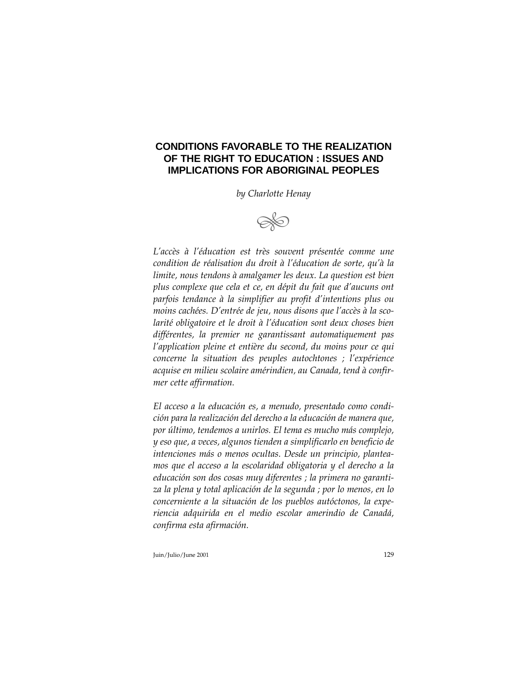# **CONDITIONS FAVORABLE TO THE REALIZATION OF THE RIGHT TO EDUCATION : ISSUES AND IMPLICATIONS FOR ABORIGINAL PEOPLES**

*by Charlotte Henay*



*L'accès à l'éducation est très souvent présentée comme une condition de réalisation du droit à l'éducation de sorte, qu'à la limite, nous tendons à amalgamer les deux. La question est bien plus complexe que cela et ce, en dépit du fait que d'aucuns ont parfois tendance à la simplifier au profit d'intentions plus ou moins cachées. D'entrée de jeu, nous disons que l'accès à la scolarité obligatoire et le droit à l'éducation sont deux choses bien différentes, la premier ne garantissant automatiquement pas l'application pleine et entière du second, du moins pour ce qui concerne la situation des peuples autochtones ; l'expérience acquise en milieu scolaire amérindien, au Canada, tend à confirmer cette affirmation.*

*El acceso a la educación es, a menudo, presentado como condición para la realización del derecho a la educación de manera que, por último, tendemos a unirlos. El tema es mucho más complejo, y eso que, a veces, algunos tienden a simplificarlo en beneficio de intenciones más o menos ocultas. Desde un principio, planteamos que el acceso a la escolaridad obligatoria y el derecho a la educación son dos cosas muy diferentes ; la primera no garantiza la plena y total aplicación de la segunda ; por lo menos, en lo concerniente a la situación de los pueblos autóctonos, la experiencia adquirida en el medio escolar amerindio de Canadá, confirma esta afirmación.*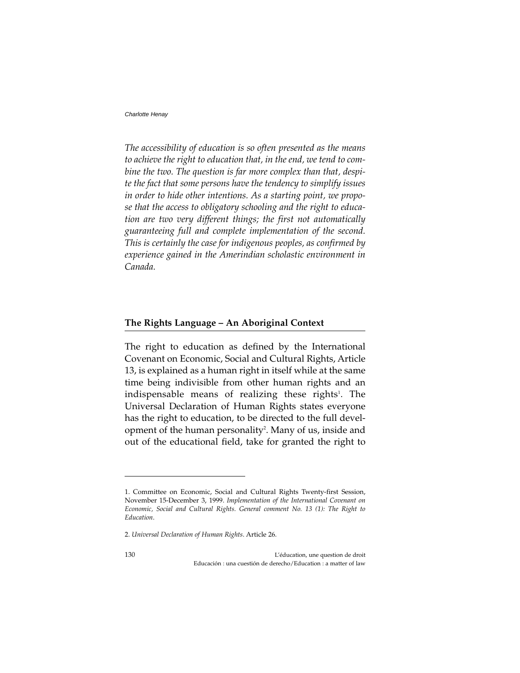*The accessibility of education is so often presented as the means to achieve the right to education that, in the end, we tend to combine the two. The question is far more complex than that, despite the fact that some persons have the tendency to simplify issues in order to hide other intentions. As a starting point, we propose that the access to obligatory schooling and the right to education are two very different things; the first not automatically guaranteeing full and complete implementation of the second. This is certainly the case for indigenous peoples, as confirmed by experience gained in the Amerindian scholastic environment in Canada.*

### **The Rights Language – An Aboriginal Context**

The right to education as defined by the International Covenant on Economic, Social and Cultural Rights, Article 13, is explained as a human right in itself while at the same time being indivisible from other human rights and an indispensable means of realizing these rights<sup>1</sup>. The Universal Declaration of Human Rights states everyone has the right to education, to be directed to the full development of the human personality<sup>2</sup>. Many of us, inside and out of the educational field, take for granted the right to

<sup>1.</sup> Committee on Economic, Social and Cultural Rights Twenty-first Session, November 15-December 3, 1999. *Implementation of the International Covenant on Economic, Social and Cultural Rights. General comment No. 13 (1): The Right to Education*.

<sup>2.</sup> *Universal Declaration of Human Rights*. Article 26.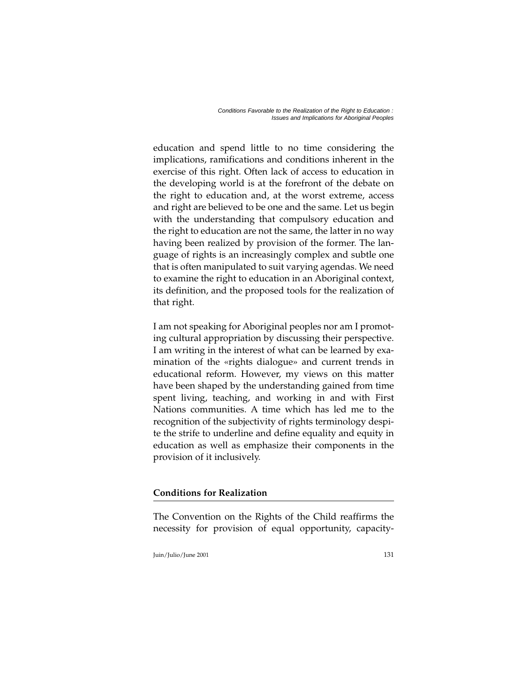education and spend little to no time considering the implications, ramifications and conditions inherent in the exercise of this right. Often lack of access to education in the developing world is at the forefront of the debate on the right to education and, at the worst extreme, access and right are believed to be one and the same. Let us begin with the understanding that compulsory education and the right to education are not the same, the latter in no way having been realized by provision of the former. The language of rights is an increasingly complex and subtle one that is often manipulated to suit varying agendas. We need to examine the right to education in an Aboriginal context, its definition, and the proposed tools for the realization of that right.

I am not speaking for Aboriginal peoples nor am I promoting cultural appropriation by discussing their perspective. I am writing in the interest of what can be learned by examination of the «rights dialogue» and current trends in educational reform. However, my views on this matter have been shaped by the understanding gained from time spent living, teaching, and working in and with First Nations communities. A time which has led me to the recognition of the subjectivity of rights terminology despite the strife to underline and define equality and equity in education as well as emphasize their components in the provision of it inclusively.

# **Conditions for Realization**

The Convention on the Rights of the Child reaffirms the necessity for provision of equal opportunity, capacity-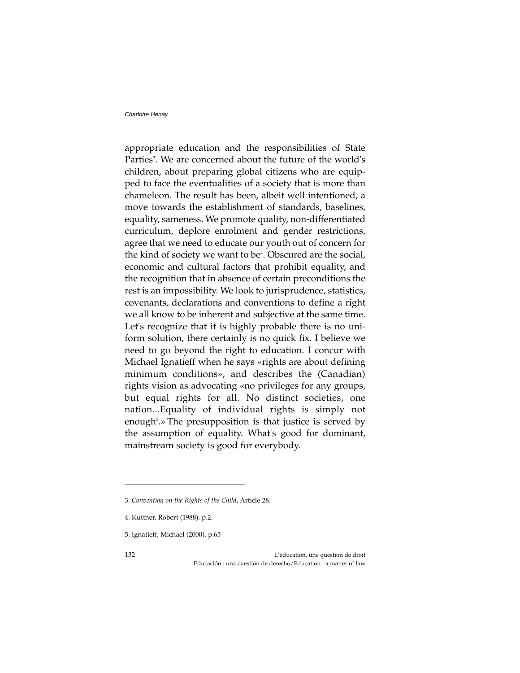appropriate education and the responsibilities of State Parties<sup>3</sup>. We are concerned about the future of the world's children, about preparing global citizens who are equipped to face the eventualities of a society that is more than chameleon. The result has been, albeit well intentioned, a move towards the establishment of standards, baselines, equality, sameness. We promote quality, non-differentiated curriculum, deplore enrolment and gender restrictions, agree that we need to educate our youth out of concern for the kind of society we want to be<sup>4</sup>. Obscured are the social, economic and cultural factors that prohibit equality, and the recognition that in absence of certain preconditions the rest is an impossibility. We look to jurisprudence, statistics, covenants, declarations and conventions to define a right we all know to be inherent and subjective at the same time. Let's recognize that it is highly probable there is no uniform solution, there certainly is no quick fix. I believe we need to go beyond the right to education. I concur with Michael Ignatieff when he says «rights are about defining minimum conditions», and describes the (Canadian) rights vision as advocating «no privileges for any groups, but equal rights for all. No distinct societies, one nation...Equality of individual rights is simply not enough<sup>5</sup>.» The presupposition is that justice is served by the assumption of equality. What's good for dominant, mainstream society is good for everybody.

132 L'éducation, une question de droit Educación : una cuestión de derecho/Education : a matter of law

<sup>3.</sup> *Convention on the Rights of the Child*, Article 28.

<sup>4.</sup> Kuttner, Robert (1988). p.2.

<sup>5.</sup> Ignatieff, Michael (2000). p.65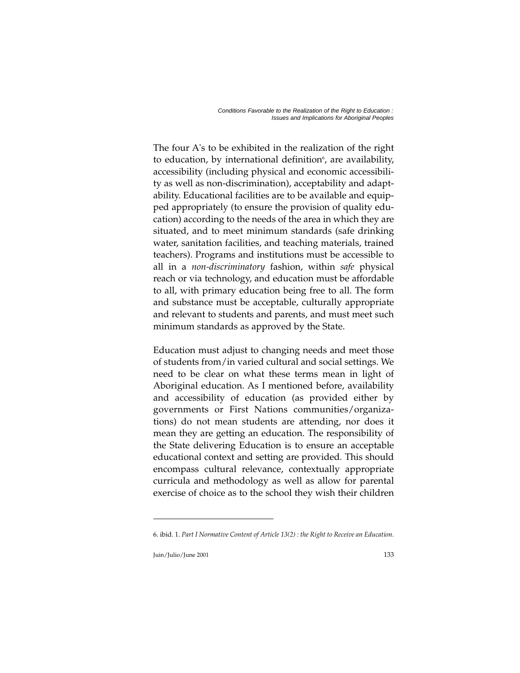The four A's to be exhibited in the realization of the right to education, by international definition<sup>6</sup>, are availability, accessibility (including physical and economic accessibility as well as non-discrimination), acceptability and adaptability. Educational facilities are to be available and equipped appropriately (to ensure the provision of quality education) according to the needs of the area in which they are situated, and to meet minimum standards (safe drinking water, sanitation facilities, and teaching materials, trained teachers). Programs and institutions must be accessible to all in a *non-discriminatory* fashion, within *safe* physical reach or via technology, and education must be affordable to all, with primary education being free to all. The form and substance must be acceptable, culturally appropriate and relevant to students and parents, and must meet such minimum standards as approved by the State.

Education must adjust to changing needs and meet those of students from/in varied cultural and social settings. We need to be clear on what these terms mean in light of Aboriginal education. As I mentioned before, availability and accessibility of education (as provided either by governments or First Nations communities/organizations) do not mean students are attending, nor does it mean they are getting an education. The responsibility of the State delivering Education is to ensure an acceptable educational context and setting are provided. This should encompass cultural relevance, contextually appropriate curricula and methodology as well as allow for parental exercise of choice as to the school they wish their children

<sup>6.</sup> ibid. 1. *Part I Normative Content of Article 13(2) : the Right to Receive an Education*.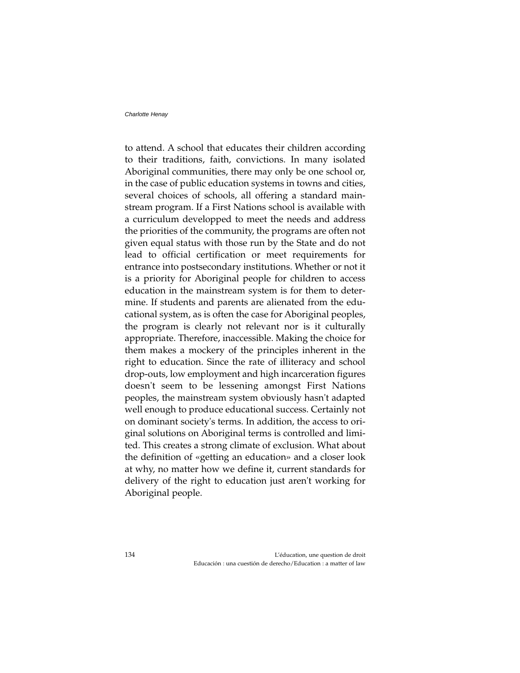to attend. A school that educates their children according to their traditions, faith, convictions. In many isolated Aboriginal communities, there may only be one school or, in the case of public education systems in towns and cities, several choices of schools, all offering a standard mainstream program. If a First Nations school is available with a curriculum developped to meet the needs and address the priorities of the community, the programs are often not given equal status with those run by the State and do not lead to official certification or meet requirements for entrance into postsecondary institutions. Whether or not it is a priority for Aboriginal people for children to access education in the mainstream system is for them to determine. If students and parents are alienated from the educational system, as is often the case for Aboriginal peoples, the program is clearly not relevant nor is it culturally appropriate. Therefore, inaccessible. Making the choice for them makes a mockery of the principles inherent in the right to education. Since the rate of illiteracy and school drop-outs, low employment and high incarceration figures doesn't seem to be lessening amongst First Nations peoples, the mainstream system obviously hasn't adapted well enough to produce educational success. Certainly not on dominant society's terms. In addition, the access to original solutions on Aboriginal terms is controlled and limited. This creates a strong climate of exclusion. What about the definition of «getting an education» and a closer look at why, no matter how we define it, current standards for delivery of the right to education just aren't working for Aboriginal people.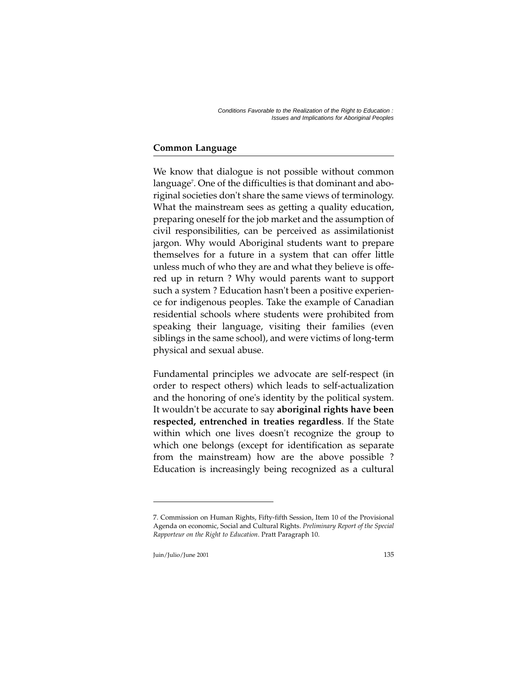# **Common Language**

We know that dialogue is not possible without common language<sup>7</sup>. One of the difficulties is that dominant and aboriginal societies don't share the same views of terminology. What the mainstream sees as getting a quality education, preparing oneself for the job market and the assumption of civil responsibilities, can be perceived as assimilationist jargon. Why would Aboriginal students want to prepare themselves for a future in a system that can offer little unless much of who they are and what they believe is offered up in return ? Why would parents want to support such a system ? Education hasn't been a positive experience for indigenous peoples. Take the example of Canadian residential schools where students were prohibited from speaking their language, visiting their families (even siblings in the same school), and were victims of long-term physical and sexual abuse.

Fundamental principles we advocate are self-respect (in order to respect others) which leads to self-actualization and the honoring of one's identity by the political system. It wouldn't be accurate to say **aboriginal rights have been respected, entrenched in treaties regardless**. If the State within which one lives doesn't recognize the group to which one belongs (except for identification as separate from the mainstream) how are the above possible ? Education is increasingly being recognized as a cultural

<sup>7.</sup> Commission on Human Rights, Fifty-fifth Session, Item 10 of the Provisional Agenda on economic, Social and Cultural Rights. *Preliminary Report of the Special Rapporteur on the Right to Education*. Pratt Paragraph 10.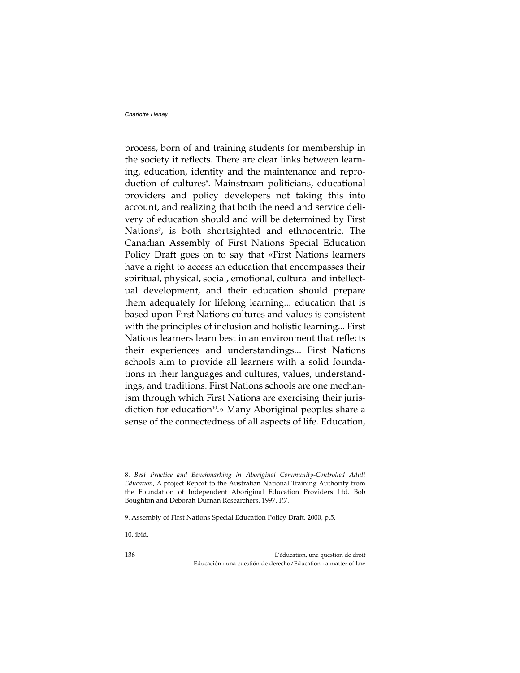process, born of and training students for membership in the society it reflects. There are clear links between learning, education, identity and the maintenance and reproduction of cultures<sup>8</sup>. Mainstream politicians, educational providers and policy developers not taking this into account, and realizing that both the need and service delivery of education should and will be determined by First Nations<sup>9</sup>, is both shortsighted and ethnocentric. The Canadian Assembly of First Nations Special Education Policy Draft goes on to say that «First Nations learners have a right to access an education that encompasses their spiritual, physical, social, emotional, cultural and intellectual development, and their education should prepare them adequately for lifelong learning... education that is based upon First Nations cultures and values is consistent with the principles of inclusion and holistic learning... First Nations learners learn best in an environment that reflects their experiences and understandings... First Nations schools aim to provide all learners with a solid foundations in their languages and cultures, values, understandings, and traditions. First Nations schools are one mechanism through which First Nations are exercising their jurisdiction for education<sup>10</sup>.» Many Aboriginal peoples share a sense of the connectedness of all aspects of life. Education,

136 L'éducation, une question de droit Educación : una cuestión de derecho/Education : a matter of law

<sup>8.</sup> *Best Practice and Benchmarking in Aboriginal Community-Controlled Adult Education*, A project Report to the Australian National Training Authority from the Foundation of Independent Aboriginal Education Providers Ltd. Bob Boughton and Deborah Durnan Researchers. 1997. P.7.

<sup>9.</sup> Assembly of First Nations Special Education Policy Draft. 2000, p.5.

<sup>10.</sup> ibid.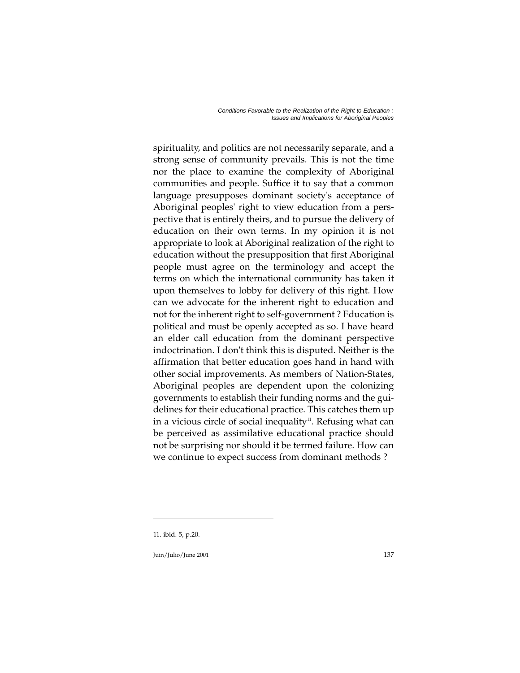spirituality, and politics are not necessarily separate, and a strong sense of community prevails. This is not the time nor the place to examine the complexity of Aboriginal communities and people. Suffice it to say that a common language presupposes dominant society's acceptance of Aboriginal peoples' right to view education from a perspective that is entirely theirs, and to pursue the delivery of education on their own terms. In my opinion it is not appropriate to look at Aboriginal realization of the right to education without the presupposition that first Aboriginal people must agree on the terminology and accept the terms on which the international community has taken it upon themselves to lobby for delivery of this right. How can we advocate for the inherent right to education and not for the inherent right to self-government ? Education is political and must be openly accepted as so. I have heard an elder call education from the dominant perspective indoctrination. I don't think this is disputed. Neither is the affirmation that better education goes hand in hand with other social improvements. As members of Nation-States, Aboriginal peoples are dependent upon the colonizing governments to establish their funding norms and the guidelines for their educational practice. This catches them up in a vicious circle of social inequality $\mu$ . Refusing what can be perceived as assimilative educational practice should not be surprising nor should it be termed failure. How can we continue to expect success from dominant methods ?

<sup>11.</sup> ibid. 5, p.20.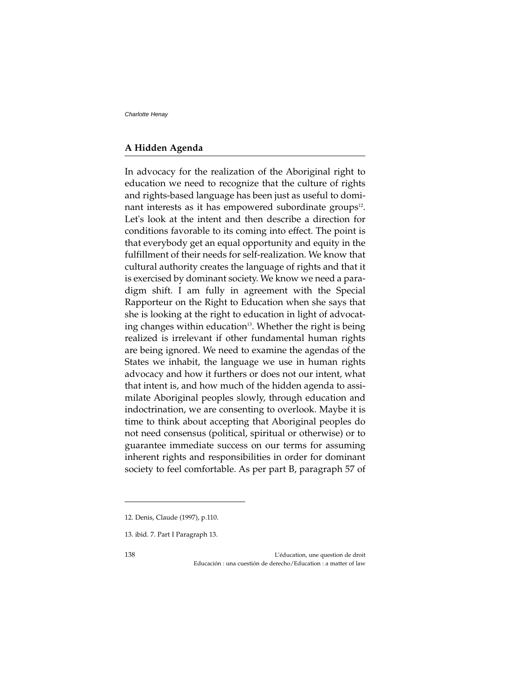## **A Hidden Agenda**

In advocacy for the realization of the Aboriginal right to education we need to recognize that the culture of rights and rights-based language has been just as useful to dominant interests as it has empowered subordinate groups<sup>12</sup>. Let's look at the intent and then describe a direction for conditions favorable to its coming into effect. The point is that everybody get an equal opportunity and equity in the fulfillment of their needs for self-realization. We know that cultural authority creates the language of rights and that it is exercised by dominant society. We know we need a paradigm shift. I am fully in agreement with the Special Rapporteur on the Right to Education when she says that she is looking at the right to education in light of advocating changes within education $13$ . Whether the right is being realized is irrelevant if other fundamental human rights are being ignored. We need to examine the agendas of the States we inhabit, the language we use in human rights advocacy and how it furthers or does not our intent, what that intent is, and how much of the hidden agenda to assimilate Aboriginal peoples slowly, through education and indoctrination, we are consenting to overlook. Maybe it is time to think about accepting that Aboriginal peoples do not need consensus (political, spiritual or otherwise) or to guarantee immediate success on our terms for assuming inherent rights and responsibilities in order for dominant society to feel comfortable. As per part B, paragraph 57 of

<sup>12.</sup> Denis, Claude (1997), p.110.

<sup>13.</sup> ibid. 7. Part I Paragraph 13.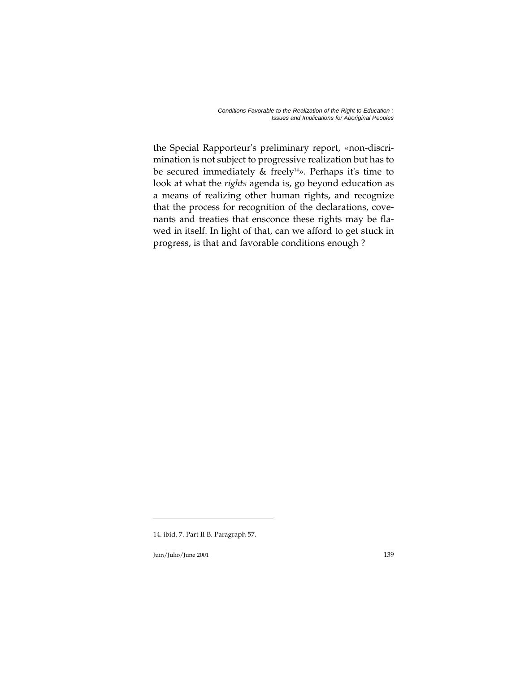the Special Rapporteur's preliminary report, «non-discrimination is not subject to progressive realization but has to be secured immediately  $\&$  freely<sup>14</sup>». Perhaps it's time to look at what the *rights* agenda is, go beyond education as a means of realizing other human rights, and recognize that the process for recognition of the declarations, covenants and treaties that ensconce these rights may be flawed in itself. In light of that, can we afford to get stuck in progress, is that and favorable conditions enough ?

<sup>14.</sup> ibid. 7. Part II B. Paragraph 57.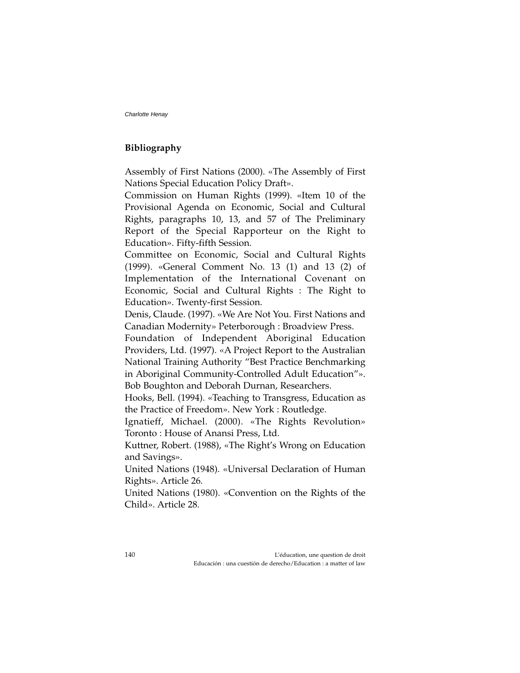### **Bibliography**

Assembly of First Nations (2000). «The Assembly of First Nations Special Education Policy Draft».

Commission on Human Rights (1999). «Item 10 of the Provisional Agenda on Economic, Social and Cultural Rights, paragraphs 10, 13, and 57 of The Preliminary Report of the Special Rapporteur on the Right to Education». Fifty-fifth Session.

Committee on Economic, Social and Cultural Rights (1999). «General Comment No. 13 (1) and 13 (2) of Implementation of the International Covenant on Economic, Social and Cultural Rights : The Right to Education». Twenty-first Session.

Denis, Claude. (1997). «We Are Not You. First Nations and Canadian Modernity» Peterborough : Broadview Press.

Foundation of Independent Aboriginal Education Providers, Ltd. (1997). «A Project Report to the Australian National Training Authority "Best Practice Benchmarking in Aboriginal Community-Controlled Adult Education"». Bob Boughton and Deborah Durnan, Researchers.

Hooks, Bell. (1994). «Teaching to Transgress, Education as the Practice of Freedom». New York : Routledge.

Ignatieff, Michael. (2000). «The Rights Revolution» Toronto : House of Anansi Press, Ltd.

Kuttner, Robert. (1988), «The Right's Wrong on Education and Savings».

United Nations (1948). «Universal Declaration of Human Rights». Article 26.

United Nations (1980). «Convention on the Rights of the Child». Article 28.